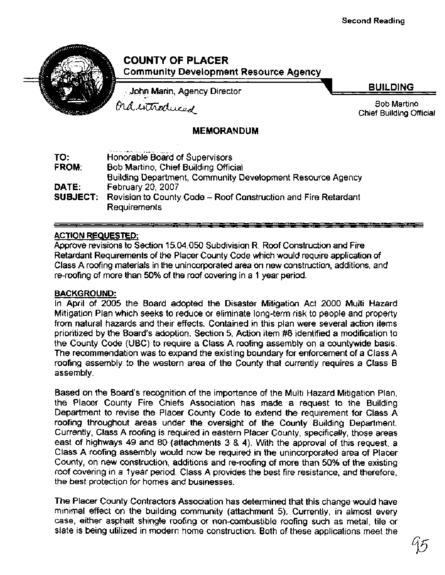## **COUNTY OF PLACER Community Development Resource Agency**

John Marin, Agency Director

**BUILDING** 

Bob Martino Chief Building Official

ordintroduced

### **MEMORANDUM**

|                                                      | The form of the best control of a support of the property of                   |  |  |  |
|------------------------------------------------------|--------------------------------------------------------------------------------|--|--|--|
| TO:                                                  | Honorable Board of Supervisors                                                 |  |  |  |
| Bob Martino, Chief Building Official<br><b>FROM:</b> |                                                                                |  |  |  |
|                                                      | Building Department, Community Development Resource Agency                     |  |  |  |
| DATE:                                                | February 20, 2007                                                              |  |  |  |
|                                                      | <b>SUBJECT:</b> Revision to County Code - Roof Construction and Fire Retardant |  |  |  |
|                                                      | <b>Requirements</b>                                                            |  |  |  |

#### ACTION REQUESTED:

Approve revisions to Section 15.04.050 Subdivision R. Roof Construction and Fire Retardant Requirements of the Placer County Code which would require application of Class A roofing materials in the unincorporated area on new construction, additions, and re-roofing of more than 50% of the roof covering in a 1 year period.

#### **BACKGROUND:**

In April of 2005 the Board adopted the Disaster Mitigation Act 2000 Multi Hazard Mitigation Plan which seeks to reduce or eliminate long-term risk to people and property from natural hazards and their effects. Contained in this plan were several action items prioritized by the Board's adoption. Section 5, Action item **#8** identified a modification to the County Code (UBC) to require a Class A roofing assembly on a countywide basis. The recommendation was to expand the existing boundary for enforcement of a Class A roofing assembly to the western area of the County that currently requires a Class B assembly.

Based on the Board's recognition of the importance of the Multi Hazard Mitigation Plan, the Placer County Fire Chiefs Association has made a request to the Building Department to revise the Placer County Code to extend the requirement for Class A roofing throughout areas under the oversight of the County Building Department. Currently, Class A roofing is required in eastern Placer County, specifically, those areas east of highways 49 and 80 (attachments 3 & 4). With the approval of this request, a Class A roofing assembly would now be required in the unincorporated area of Placer County, on new construction, additions and re-roofing of more than 50% of the existing roof covering in a 1 year period. Class A provides the best fire resistance, and therefore, the best protection for homes and businesses.

The Placer County Contractors Association has determined that this change would have minimal effect on the building community (attachment 5). Currently, in almost every case, either asphalt shingle roofing or non-combustible roofing such as metal, tile or slate is being utilized in modern home construction. Both of these applications meet the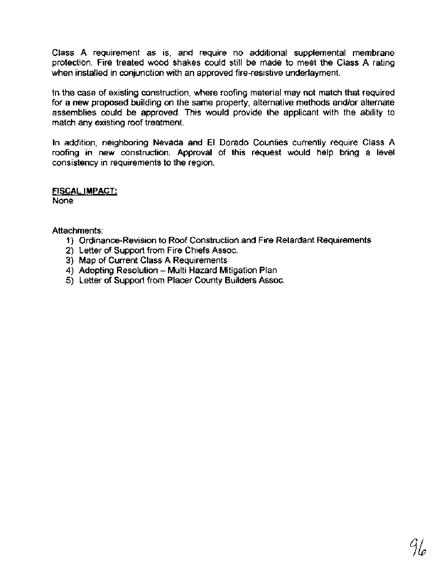Class A requirement as is, and require no additional supplemental membrane protection. Fire treated wood shakes could still be made to meet the Class A rating when installed in conjunction with an approved fire-resistive underlayment.

In the case of existing construction, where roofing material may not match that required for a new proposed building on the same property, alternative methods andlor alternate assemblies could be approved. This would provide the applicant with the ability to match any existing roof treatment.

In addition, neighboring Nevada and **El** Dorado Counties currently require Class A roofing in new construction. Approval of this request would help bring a level consistency in requirements to the region.

FISCAL IMPACT:

None

Attachments:

- 1) Ordinance-Revision to Roof Construction and Fire Retardant Requirements
- 2) Letter of Support from Fire Chiefs Assoc.
- 3) Map of Current Class A Requirements
- 4) Adopting Resolution Multi Hazard Mitigation Plan
- 5) Letter of Support from Placer County Builders Assoc.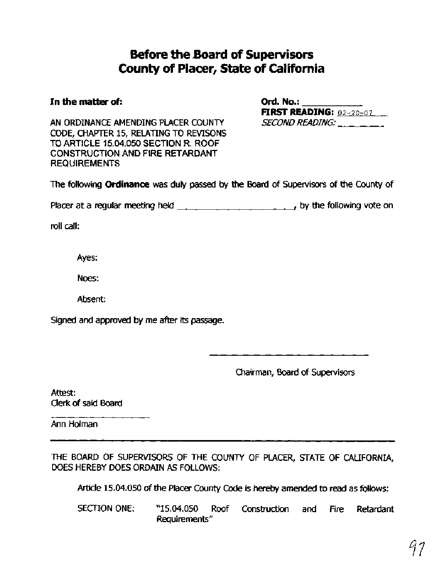# **Before the Board of Supervisors County of Placer, State of California**

#### In the matter of:

| Ord. No.: $\_\_$ |                                  |  |
|------------------|----------------------------------|--|
|                  | <b>FIRST READING:</b> $92-20-07$ |  |
| SECOND READING:  |                                  |  |

AN ORDINANCE AMENDING PLACER COUNTY CODE, CHAPTER 15, RELATING TO REVISONS TO ARTICLE **15.04.050** SECTION R. ROOF CONSTRUCTION AND **FIRE** RETARDANT REQUIREMENTS

The following **Ordinance** was **duly** passed by the **Ebard** of Supervisors of the County of

Placer at a regular meeting held \_\_\_\_\_\_\_\_\_\_\_\_\_\_\_\_\_\_\_\_\_\_\_\_\_\_\_, by the following vote on

roll call:

Ayes:

Noes:

Absent:

Signed and approved by me after its passage.

Chairman, Board of Supervisors

Attest: Clerk of said **Board** 

Ann Holman

THE BOARD OF SUPERVISORS OF THE COUNTY OF PLACER, STATE OF CALIFORNIA, DOES HEREBY DOES ORDAIN AS FOLLOWS:

Article 15.04.050 of the Placer County Code is hereby amended to read as follows:

SECTION ONE: "15.04.050 Roof Construction and Fire Retardant Requirements"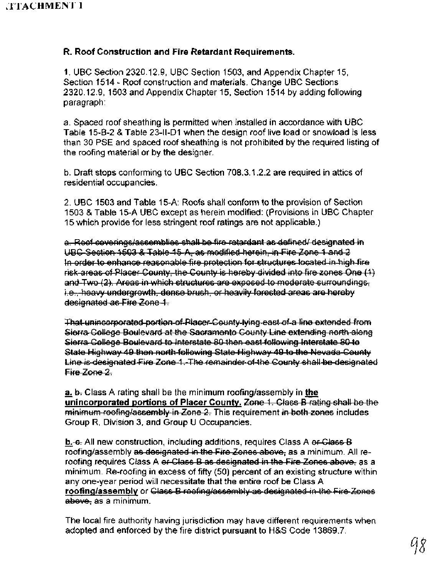#### **R. Roof Construction and Fire Retardant Requirements.**

1. UBC Section 2320.12.9, UBC Section 1503, and Appendix Chapter 15, Section 1514 - Roof construction and materials. Change UBC Sections 2320.12.9, 1503 and Appendix Chapter 15, Section 1514 by adding following paragraph:

a. Spaced roof sheathing is permitted when installed in accordance with UBC Table 15-B-2 & Table 23-II-D1 when the design roof live load or snowload is less than 30 PSE and spaced roof sheathing is not prohibited by the required listing of the roofing material or by the designer.

b. Draft stops conforming to UBC Section 708.3.1.2.2 are required in attics of residential occupancies.

2. UBC 1503 and Table 15-A: Roofs shall conform to the provision of Section 1503 & Table 15-A UBC except as herein modified: (Provisions in UBC Chapter 15 which provide for less stringent roof ratings are not applicable.)

b. Draft stops conforming to UBC Section 708.3.1.2.2 are required in attics of<br>residential occupancies.<br>2. UBC 1503 and Table 15-A: Roofs shall conform to the provision of Section<br>1503 & Table 15-A UBC except as herein mod is packed for systeming is permitted when instelled in accordance with OCC.<br>In Section of the state of the system in the design cod live load or sonwing the system of DFE and spaced roof stealthing is not prohibited by the

F<del>ire Zone 2.</del><br>**a.** <del>b.</del> Class A rating shall be the minimum roofing/assembly in **the** 

unincorporated portions of Placer County. Zone 1. Class B rating shall be the minimum recting/assembly in Zone 2. This requirement in both zones includes Group R, Division 3, and Group U Occupancies.

<u>b.</u>-e. All new construction, including additions, requires Class A <del>or Class B</del><br>roofing/assembly <del>as designated in the Fire Zones above,</del> as a minimum. All reroofing requires Class A e<del>r Class B as designated in the Fire Zones above,</del> as a minimum. Re-roofing in excess of fifty (50) percent of an existing structure within any one-year period will necessitate that the entire roof be Class A **roofinq/assembly** or abeve, as a minimum.

The local fire authority having jurisdiction may have different requirements when adopted and enforced by the fire district pursuant to H&S Code 13869.7.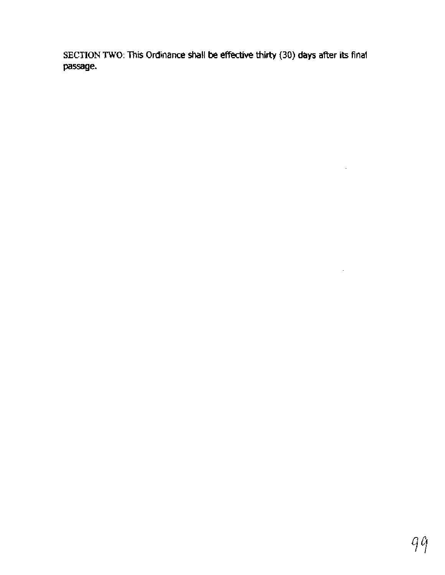**SECTION TWO: This Ordinance shall be effective thirty (30) days after its final passage.** 

 $\bar{z}$ 

 $\sim 10^{-10}$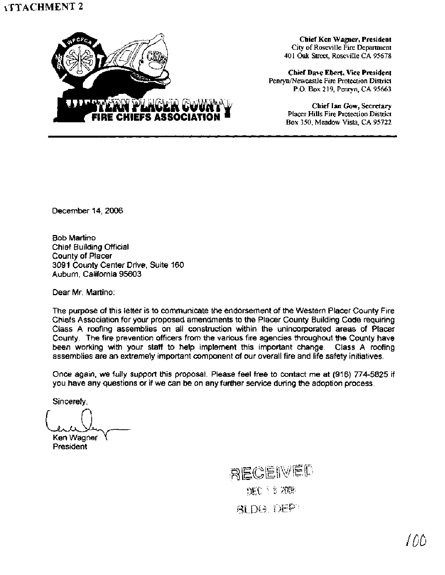

**Chief Ken Wagner, President City of Roseville Fire Department 401 Oak Street, Roseville CA 95678** 

**Chief Dave Ebert, Vice President PenryniNewcastle Fire Protection District P.O. Box 219, Penryn, CA 95663** 

> **Chief Ian Gow, Secretary Placer Hills Fire Protection District Box 350, Meadow Vista, CA 95722**

December 14,2006

Bob Martino Chief Building Official County of Placer 3091 County Center Drive, Suite 160 Auburn, California 95603

Dear Mr. Martino:

The purpose of this letter is to communicate the endorsement of the Western Placer County Fire Chiefs Association for your proposed amendments to the Placer County Building Code requiring Class A roofing assemblies on all construction within the unincorporated areas of Placer County. The fire prevention officers from the various fire agencies throughout the County have been working with your staff to help implement this important change. Class A roofing assemblies are an extremely important component of our overall fire and life safety initiatives.

Once again, we fully support this proposal. Please feel free to contact me at (916) **774-5825** if you have any questions or if we can be on any further service during the adoption process.

Sincerely,

Ken Wagner **President** 

RECEIVED DEC 1 8 2006 **BLDG, DEPT**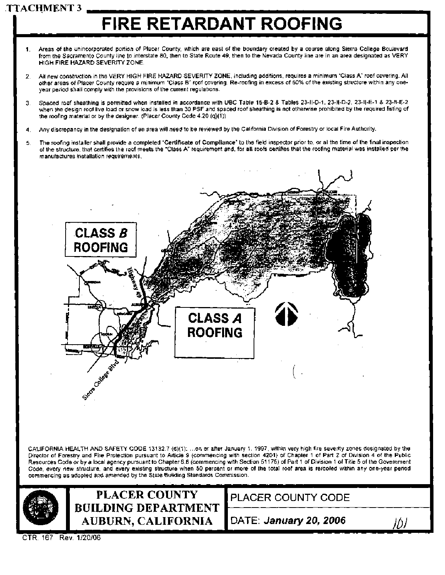# **TTACHMENT 3**

# **FlRE RETARDANT ROOFING**

- **1.** Areas of the unincorporated portion of Placer County, which are east of the boundary created by a course along Sierra College Boulevard from the Sacramento County line to interstate 80, then to State Route 49, then to the Nevada County line are in an area designated as VERY HlGH FlRE HAZARD SEVERITY ZONE.
- 2. All new construction in the VERY HlGH FlRE HAZARD SEVERITY ZONE, including additions, requires a minimum "Class A" roof covering. All other areas of Placer County require a minimum "Class B" roof covering. Re-roofing in excess of 50% of the existing structure within any oneyear period shall comply with the provisions of the current regulations.
- 3. Spaced roof sheathing is permitted when installed in accordance with UBC Table 15-B-2 & Tables 23-11-D-1, 23-11-D-2, 23-ll-E-1 & 23-11-E-2 when the design roof live load or snow load is less than 30 PSF and spaced roof sheathing is not otherwise prohibited by the required listing of the roofing material or by the designer. (Placer County Code 4.20 (q)(l))
- 4. Any discrepancy in the designation of an area will need to be reviewed by the California Division of Forestry or local Fire Authority.
- 5. The roofing installer shall provide a completed **"Certificate of Compliance"** to the field inspector prior to, or at the time of the final inspection of the structure, that certifies the roof meets the "Class A" requirement and, for **all** roofs certifies that the roofing material was installed per the manufactures installation requirements,



CALIFORNIA HEALTH AND SAFETY CODE 13132.7 (d)(1): ...on or after January 1, 1997, within very high fire severity zones designated by the Director of Forestry and Fire Protection pursuant to Article 9 (commencing with secti Director of Forestry and Fire Protection pursuant to Article 9 (commencing with section 4201) of Chapter 1 of Part 2 of Division 4 of the Public<br>Resources Code or by a local agency pursuant to Chapter 6.8 (commencing with Resources Code or by a local agency pursuant to Chapter 6.8 (commencing with Section 51 175) of Part 1 of Division 1 of Title 5 of the Government Code, every new structure, and every existing structure when 50 percent or more of the total roof area is reroofed within any one-year period<br>commencing as adopted and amended by the State Building Standards Commission.



CTR. 167 **Rev.** 1120106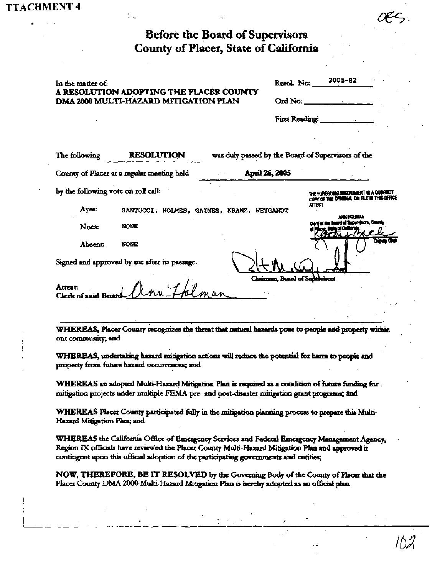| Before the Board of Supervisors       |
|---------------------------------------|
| County of Placer, State of California |

| In the matter of:<br>A RESOLUTION ADOPTING THE PLACER COUNTY  |                                           |  | Resol. No:     | 2005-82                                                                                    |  |  |
|---------------------------------------------------------------|-------------------------------------------|--|----------------|--------------------------------------------------------------------------------------------|--|--|
| DMA 2000 MULTI-HAZARD MITIGATION PLAN                         |                                           |  |                |                                                                                            |  |  |
|                                                               |                                           |  | First Reading: |                                                                                            |  |  |
|                                                               |                                           |  |                |                                                                                            |  |  |
| The following                                                 | <b>RESOLUTION</b>                         |  |                | was duly passed by the Board of Supervisors of the                                         |  |  |
| April 26, 2005<br>County of Placer at a regular meeting held  |                                           |  |                |                                                                                            |  |  |
| by the following vote on roll call:                           |                                           |  |                | <b>19 MARTIN DIE RICHT IS. A. COUNTRIEST</b><br>COPY OF THE ORIGINAL ON FLE IN THIS OFFICE |  |  |
| Ayes:                                                         | SANTUCCI, HOLMES, GAINES, KRANZ, WEYGANDT |  |                | AITEST<br>e let mili                                                                       |  |  |
| Noes:                                                         | <b>NONE</b>                               |  |                |                                                                                            |  |  |
| <b>Absent</b>                                                 | NONE                                      |  |                | ngain Chif                                                                                 |  |  |
| Signed and approved by me after its passage.                  |                                           |  |                |                                                                                            |  |  |
| Chairman, Board of Supervisors<br>Attest:<br>Clerk of said Be |                                           |  |                |                                                                                            |  |  |

WHEREAS, Placer County recognizes the threat that natural hazards pose to people and property within out community; and

WHEREAS, undertaking hazard mitigation actions will reduce the potential for harm to people and property from future hazard occurrences; and

WHEREAS an adopted Multi-Hazard Mitigation Plan is required as a condition of future funding for. mitigation projects under multiple FEMA pre- and post-disaster mitigation grant programs; and

WHEREAS Placer County participated fully in the mitigation planning process to prepare this Multi-Hazard Mitigation Plan; and

WHEREAS the California Office of Emergency Services and Federal Emergency Management Agency, Region IX officials have reviewed the Placer County Multi-Hazard Mitigation Plan and approved it contingent upon this official adoption of the participating governments and entities;

NOW, THEREFORE, BE IT RESOLVED by the Governing Body of the County of Placer that the Placer County DMA 2000 Multi-Hazard Mitigation Plan is hereby adopted as an official plan.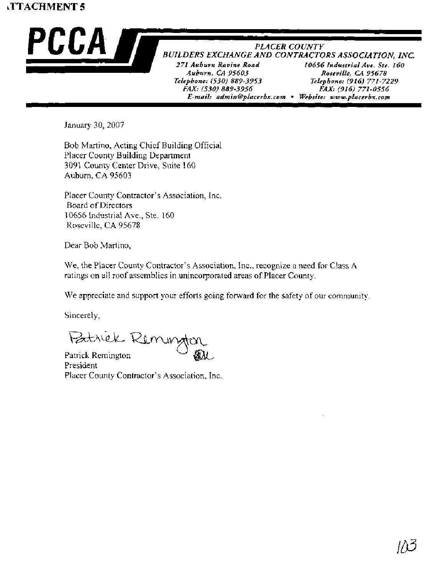# **TTACHMENT 5**



*E-mail: admin@placerbx.com • Website: www.placerbx.com* 

January 30,2007

Bob Martino, Acting Chief Building Official Placer County Building Department 3091 County Center Drive, Suite 160 Auburn, CA 95603

Placer County Contractor's Association, Inc. Board of Directors 10656 Industrial Ave., Ste. 160 Roseville, CA 95678

Dear Bob Martino,

We, the Placer County Contractor's Association, Inc., recognize a need for Class A ratings on all roof assemblies in unincorporated areas of Placer County.

We appreciate and support your efforts going forward for the safety of our community.

Sincerely,

Butriek Remungton

Patrick Remington President Placer County Contractor's Association, Inc.